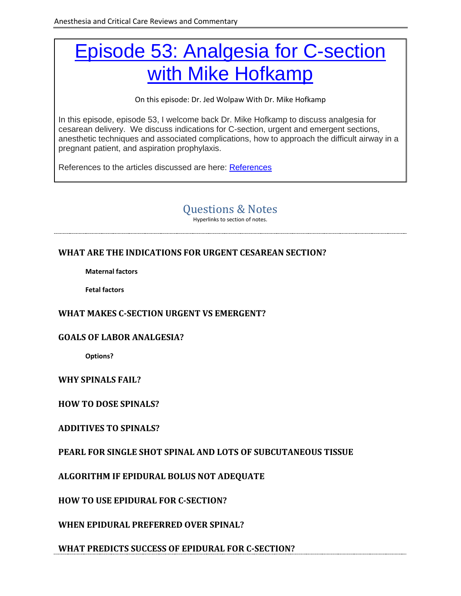# [Episode 53: Analgesia for C-section](http://accrac.com/episode-53-analgesia-for-c-section-with-mike-hofkamp/)  [with Mike Hofkamp](http://accrac.com/episode-53-analgesia-for-c-section-with-mike-hofkamp/)

On this episode: Dr. Jed Wolpaw With Dr. Mike Hofkamp

In this episode, episode 53, I welcome back Dr. Mike Hofkamp to discuss analgesia for cesarean delivery. We discuss indications for C-section, urgent and emergent sections, anesthetic techniques and associated complications, how to approach the difficult airway in a pregnant patient, and aspiration prophylaxis.

<span id="page-0-0"></span>References to the articles discussed are here: [References](http://accrac.com/wp-content/uploads/2017/08/References.docx)

# Questions & Notes

Hyperlinks to section of notes.

## **[WHAT ARE THE INDICATIONS FOR URGENT CESAREAN SECTION?](#page-2-0)**

**[Maternal factors](#page-2-1)**

**[Fetal factors](#page-2-2)**

#### **[WHAT MAKES C-SECTION](#page-2-3) URGENT VS EMERGENT?**

#### **[GOALS OF LABOR ANALGESIA?](#page-2-4)**

**[Options?](#page-3-0)**

#### **[WHY SPINALS FAIL?](#page-3-1)**

**[HOW TO DOSE SPINALS?](#page-3-2)**

#### **[ADDITIVES TO SPINALS?](#page-3-3)**

**[PEARL FOR SINGLE SHOT SPINAL AND LOTS OF](#page-3-4) SUBCUTANEOUS TISSUE**

**[ALGORITHM IF EPIDURAL BOLUS NOT ADEQUATE](#page-4-0)**

**[HOW TO USE EPIDURAL FOR C-SECTION?](#page-4-1)**

**[WHEN EPIDURAL PREFERRED OVER SPINAL?](#page-4-2)**

**[WHAT PREDICTS SUCCESS OF EPIDURAL FOR C-SECTION?](#page-5-0)**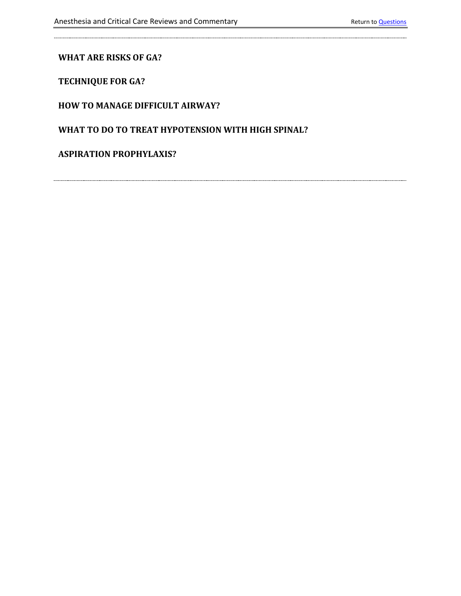### **[WHAT ARE RISKS OF GA?](#page-5-1)**

**[TECHNIQUE FOR GA?](#page-5-2)**

#### **[HOW TO MANAGE DIFFICULT AIRWAY?](#page-6-0)**

## **[WHAT TO DO TO TREAT HYPOTENSION WITH HIGH SPINAL?](#page-6-1)**

#### **[ASPIRATION PROPHYLAXIS?](#page-6-2)**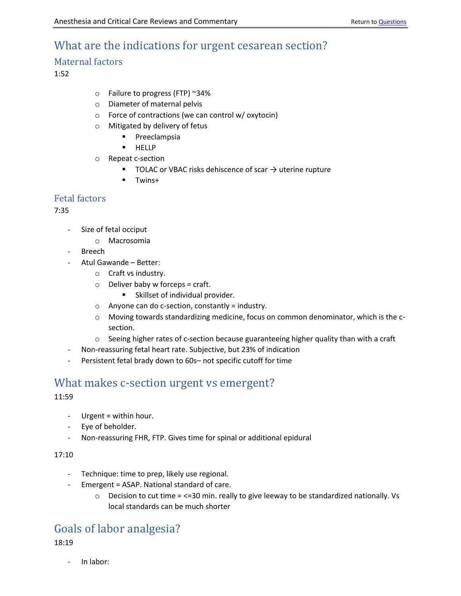## <span id="page-2-0"></span>What are the indications for urgent cesarean section?

## <span id="page-2-1"></span>Maternal factors

1:52

- o Failure to progress (FTP) ~34%
- o Diameter of maternal pelvis
- o Force of contractions (we can control w/ oxytocin)
- o Mitigated by delivery of fetus
	- Preeclampsia
	- HELLP
- o Repeat c-section
	- TOLAC or VBAC risks dehiscence of scar  $\rightarrow$  uterine rupture
	- Twins+

## <span id="page-2-2"></span>Fetal factors

7:35

- Size of fetal occiput
	- o Macrosomia
- **Breech**
- Atul Gawande Better:
	- o Craft vs industry.
	- $\circ$  Deliver baby w forceps = craft.
		- Skillset of individual provider.
	- o Anyone can do c-section, constantly = industry.
	- $\circ$  Moving towards standardizing medicine, focus on common denominator, which is the csection.
	- $\circ$  Seeing higher rates of c-section because guaranteeing higher quality than with a craft
- Non-reassuring fetal heart rate. Subjective, but 23% of indication
- Persistent fetal brady down to 60s- not specific cutoff for time

## <span id="page-2-3"></span>What makes c-section urgent vs emergent?

11:59

- Urgent = within hour.
- Eye of beholder.
- Non-reassuring FHR, FTP. Gives time for spinal or additional epidural

#### 17:10

- Technique: time to prep, likely use regional.
- Emergent = ASAP. National standard of care.
	- $\circ$  Decision to cut time = <=30 min. really to give leeway to be standardized nationally. Vs local standards can be much shorter

## <span id="page-2-4"></span>Goals of labor analgesia?

18:19

- In labor: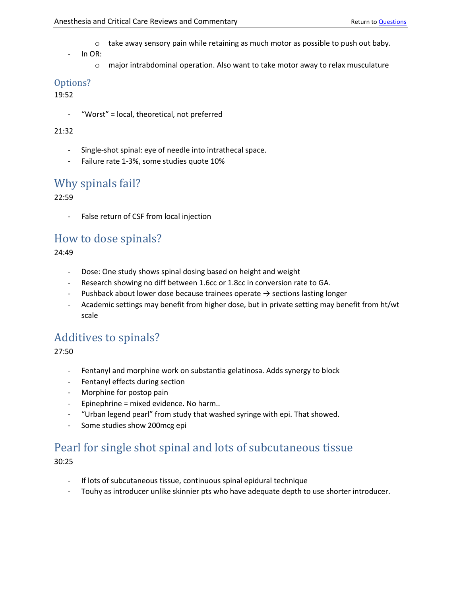- $\circ$  take away sensory pain while retaining as much motor as possible to push out baby.
- In OR:
	- $\circ$  major intrabdominal operation. Also want to take motor away to relax musculature

## <span id="page-3-0"></span>Options?

19:52

"Worst" = local, theoretical, not preferred

#### 21:32

- Single-shot spinal: eye of needle into intrathecal space.
- Failure rate 1-3%, some studies quote 10%

## <span id="page-3-1"></span>Why spinals fail?

22:59

- False return of CSF from local injection

## <span id="page-3-2"></span>How to dose spinals?

24:49

- Dose: One study shows spinal dosing based on height and weight
- Research showing no diff between 1.6cc or 1.8cc in conversion rate to GA.
- Pushback about lower dose because trainees operate  $\rightarrow$  sections lasting longer
- Academic settings may benefit from higher dose, but in private setting may benefit from ht/wt scale

## <span id="page-3-3"></span>Additives to spinals?

27:50

- Fentanyl and morphine work on substantia gelatinosa. Adds synergy to block
- Fentanyl effects during section
- Morphine for postop pain
- Epinephrine = mixed evidence. No harm..
- "Urban legend pearl" from study that washed syringe with epi. That showed.
- Some studies show 200mcg epi

# <span id="page-3-4"></span>Pearl for single shot spinal and lots of subcutaneous tissue

- If lots of subcutaneous tissue, continuous spinal epidural technique
- Touhy as introducer unlike skinnier pts who have adequate depth to use shorter introducer.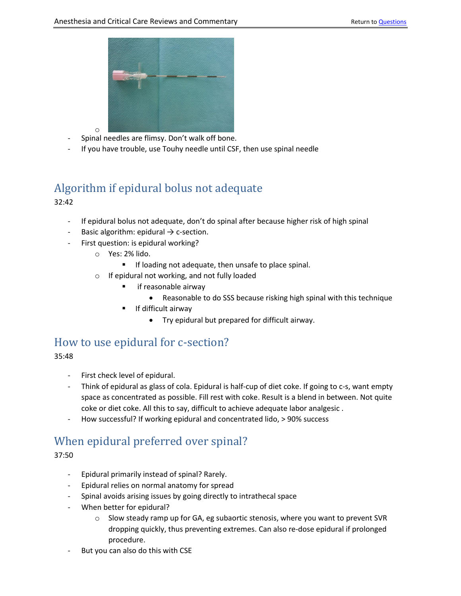

- Spinal needles are flimsy. Don't walk off bone.
- If you have trouble, use Touhy needle until CSF, then use spinal needle

## <span id="page-4-0"></span>Algorithm if epidural bolus not adequate 32:42

- If epidural bolus not adequate, don't do spinal after because higher risk of high spinal
- Basic algorithm: epidural  $\rightarrow$  c-section.
- First question: is epidural working?
	- o Yes: 2% lido.

o

- If loading not adequate, then unsafe to place spinal.
- o If epidural not working, and not fully loaded
	- if reasonable airway
		- Reasonable to do SSS because risking high spinal with this technique
	- If difficult airway
		- Try epidural but prepared for difficult airway.

## <span id="page-4-1"></span>How to use epidural for c-section?

35:48

- First check level of epidural.
- Think of epidural as glass of cola. Epidural is half-cup of diet coke. If going to c-s, want empty space as concentrated as possible. Fill rest with coke. Result is a blend in between. Not quite coke or diet coke. All this to say, difficult to achieve adequate labor analgesic .
- How successful? If working epidural and concentrated lido, > 90% success

## <span id="page-4-2"></span>When epidural preferred over spinal?

- Epidural primarily instead of spinal? Rarely.
- Epidural relies on normal anatomy for spread
- Spinal avoids arising issues by going directly to intrathecal space
- When better for epidural?
	- $\circ$  Slow steady ramp up for GA, eg subaortic stenosis, where you want to prevent SVR dropping quickly, thus preventing extremes. Can also re-dose epidural if prolonged procedure.
- But you can also do this with CSE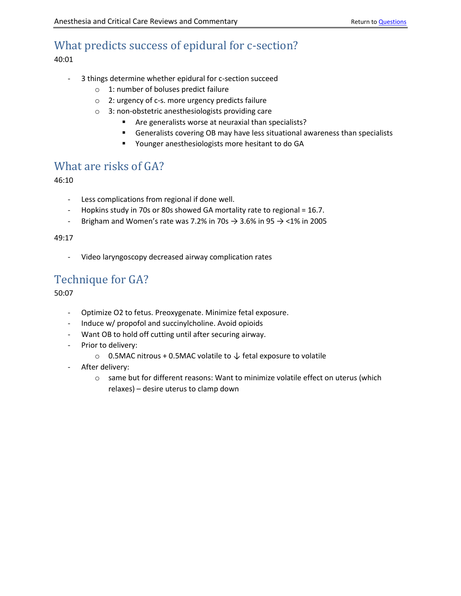# <span id="page-5-0"></span>What predicts success of epidural for c-section?

40:01

- 3 things determine whether epidural for c-section succeed
	- o 1: number of boluses predict failure
	- o 2: urgency of c-s. more urgency predicts failure
	- o 3: non-obstetric anesthesiologists providing care
		- Are generalists worse at neuraxial than specialists?
		- Generalists covering OB may have less situational awareness than specialists
		- Younger anesthesiologists more hesitant to do GA

## <span id="page-5-1"></span>What are risks of GA?

46:10

- Less complications from regional if done well.
- Hopkins study in 70s or 80s showed GA mortality rate to regional = 16.7.
- Brigham and Women's rate was 7.2% in 70s  $\rightarrow$  3.6% in 95  $\rightarrow$  <1% in 2005

#### 49:17

Video laryngoscopy decreased airway complication rates

## <span id="page-5-2"></span>Technique for GA?

- Optimize O2 to fetus. Preoxygenate. Minimize fetal exposure.
- Induce w/ propofol and succinylcholine. Avoid opioids
- Want OB to hold off cutting until after securing airway.
- Prior to delivery:
	- $\circ$  0.5MAC nitrous + 0.5MAC volatile to ↓ fetal exposure to volatile
- After delivery:
	- $\circ$  same but for different reasons: Want to minimize volatile effect on uterus (which relaxes) – desire uterus to clamp down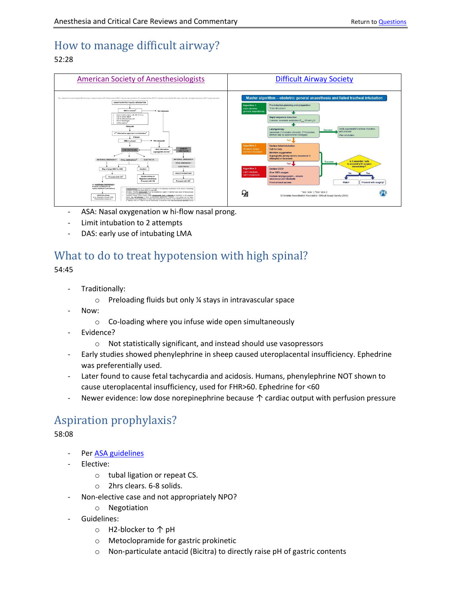# <span id="page-6-0"></span>How to manage difficult airway?

## 52:28



- ASA: Nasal oxygenation w hi-flow nasal prong.
- Limit intubation to 2 attempts
- DAS: early use of intubating LMA

## <span id="page-6-1"></span>What to do to treat hypotension with high spinal?

54:45

- Traditionally:
	- o Preloading fluids but only ¼ stays in intravascular space
- Now:
	- o Co-loading where you infuse wide open simultaneously
- Evidence?
	- o Not statistically significant, and instead should use vasopressors
- Early studies showed phenylephrine in sheep caused uteroplacental insufficiency. Ephedrine was preferentially used.
- Later found to cause fetal tachycardia and acidosis. Humans, phenylephrine NOT shown to cause uteroplacental insufficiency, used for FHR>60. Ephedrine for <60
- Newer evidence: low dose norepinephrine because  $\uparrow$  cardiac output with perfusion pressure

# <span id="page-6-2"></span>Aspiration prophylaxis?

- Pe[r ASA guidelines](https://anesthesiology.pubs.asahq.org/article.aspx?articleid=2596245)
- Elective:
	- o tubal ligation or repeat CS.
	- o 2hrs clears. 6-8 solids.
- Non-elective case and not appropriately NPO?
	- o Negotiation
	- Guidelines:
		- o H2-blocker to ↑ pH
		- o Metoclopramide for gastric prokinetic
		- o Non-particulate antacid (Bicitra) to directly raise pH of gastric contents